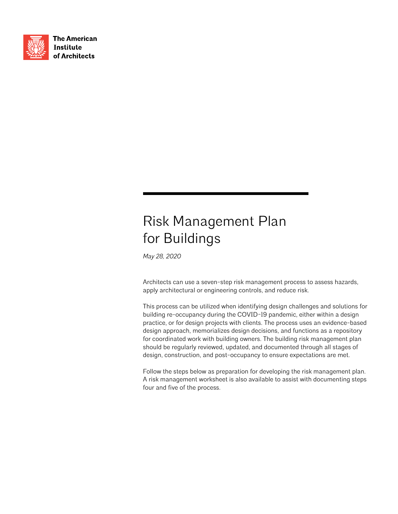

**The American Institute** of Architects

## Risk Management Plan for Buildings

*May 28, 2020*

Architects can use a seven-step risk management process to assess hazards, apply architectural or engineering controls, and reduce risk.

This process can be utilized when identifying design challenges and solutions for building re-occupancy during the COVID-19 pandemic, either within a design practice, or for design projects with clients. The process uses an evidence-based design approach, memorializes design decisions, and functions as a repository for coordinated work with building owners. The building risk management plan should be regularly reviewed, updated, and documented through all stages of design, construction, and post-occupancy to ensure expectations are met.

Follow the steps below as preparation for developing the risk management plan. A risk management worksheet is also available to assist with documenting steps four and five of the process.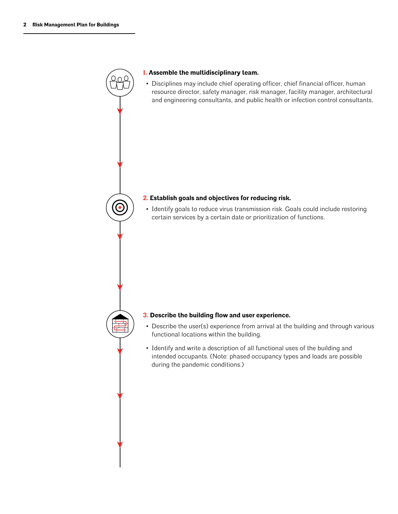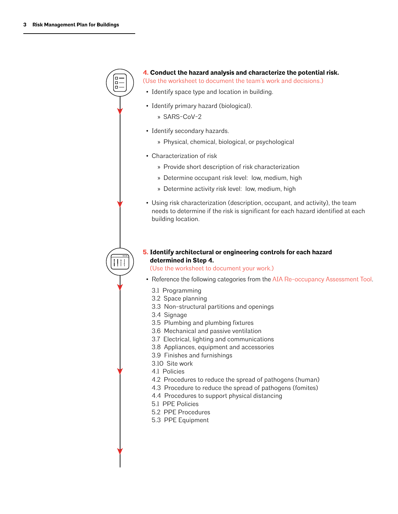